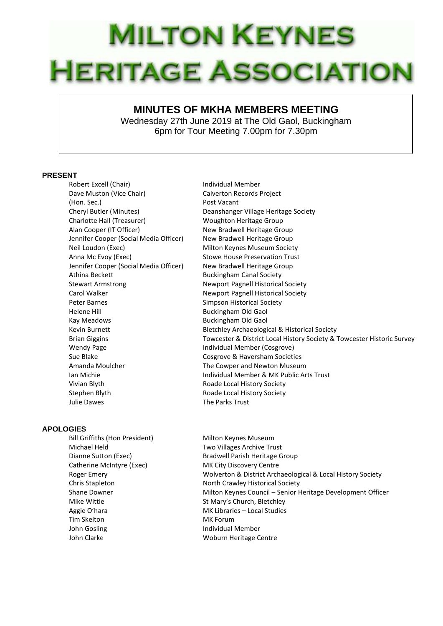## **MILTON KEYNES HERITAGE ASSOCIATION**

## **MINUTES OF MKHA MEMBERS MEETING**

Wednesday 27th June 2019 at The Old Gaol, Buckingham 6pm for Tour Meeting 7.00pm for 7.30pm

## **PRESENT**

Robert Excell (Chair) **Individual Member** Dave Muston (Vice Chair) Calverton Records Project (Hon. Sec.) **Post Vacant** Cheryl Butler (Minutes) Deanshanger Village Heritage Society Charlotte Hall (Treasurer) Woughton Heritage Group Alan Cooper (IT Officer) New Bradwell Heritage Group Jennifer Cooper (Social Media Officer) New Bradwell Heritage Group Neil Loudon (Exec) Milton Keynes Museum Society Anna Mc Evoy (Exec) Stowe House Preservation Trust Jennifer Cooper (Social Media Officer) New Bradwell Heritage Group Athina Beckett **Buckingham Canal Society** Stewart Armstrong The Newport Pagnell Historical Society Carol Walker **Newport Pagnell Historical Society** Peter Barnes **Simpson Historical Society** Simpson Historical Society Helene Hill Buckingham Old Gaol Kay Meadows **Buckingham Old Gaol** Wendy Page **Individual Member (Cosgrove) Individual Member (Cosgrove)** Sue Blake Cosgrove & Haversham Societies Amanda Moulcher The Cowper and Newton Museum Vivian Blyth **Roade Local History Society** Stephen Blyth Roade Local History Society

Kevin Burnett **Bletchley Archaeological & Historical Society** Brian Giggins Towcester & District Local History Society & Towcester Historic Survey Ian Michie Individual Member & MK Public Arts Trust Julie Dawes The Parks Trust

## **APOLOGIES**

Michael Held Two Villages Archive Trust Catherine McIntyre (Exec) MK City Discovery Centre Mike Wittle **St Mary's Church, Bletchley** Aggie O'hara MK Libraries – Local Studies Tim Skelton **MK Forum** John Gosling **Individual Member** John Clarke Woburn Heritage Centre

Bill Griffiths (Hon President) Milton Keynes Museum Dianne Sutton (Exec) Bradwell Parish Heritage Group Roger Emery Wolverton & District Archaeological & Local History Society Chris Stapleton North Crawley Historical Society Shane Downer **Milton Keynes Council – Senior Heritage Development Officer**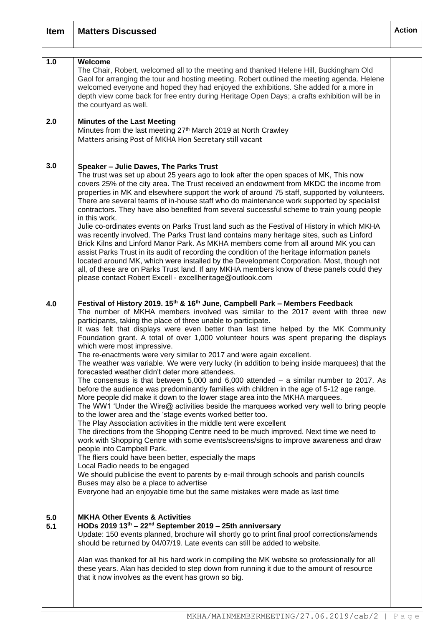| <b>Item</b> | <b>Matters Discussed</b>                                                                                                                                                                                                                                                                                                                                                                                                                                                                                                                                                                                                                                                                                                                                                                                                                                                                                                                                                                                                                                                                                                                                                                                                                                                                                                                                                                                                                                                                                                                                                                                                                                                                                                                                | <b>Action</b> |
|-------------|---------------------------------------------------------------------------------------------------------------------------------------------------------------------------------------------------------------------------------------------------------------------------------------------------------------------------------------------------------------------------------------------------------------------------------------------------------------------------------------------------------------------------------------------------------------------------------------------------------------------------------------------------------------------------------------------------------------------------------------------------------------------------------------------------------------------------------------------------------------------------------------------------------------------------------------------------------------------------------------------------------------------------------------------------------------------------------------------------------------------------------------------------------------------------------------------------------------------------------------------------------------------------------------------------------------------------------------------------------------------------------------------------------------------------------------------------------------------------------------------------------------------------------------------------------------------------------------------------------------------------------------------------------------------------------------------------------------------------------------------------------|---------------|
| 1.0         | Welcome<br>The Chair, Robert, welcomed all to the meeting and thanked Helene Hill, Buckingham Old<br>Gaol for arranging the tour and hosting meeting. Robert outlined the meeting agenda. Helene<br>welcomed everyone and hoped they had enjoyed the exhibitions. She added for a more in<br>depth view come back for free entry during Heritage Open Days; a crafts exhibition will be in<br>the courtyard as well.                                                                                                                                                                                                                                                                                                                                                                                                                                                                                                                                                                                                                                                                                                                                                                                                                                                                                                                                                                                                                                                                                                                                                                                                                                                                                                                                    |               |
| 2.0         | <b>Minutes of the Last Meeting</b><br>Minutes from the last meeting 27th March 2019 at North Crawley<br>Matters arising Post of MKHA Hon Secretary still vacant                                                                                                                                                                                                                                                                                                                                                                                                                                                                                                                                                                                                                                                                                                                                                                                                                                                                                                                                                                                                                                                                                                                                                                                                                                                                                                                                                                                                                                                                                                                                                                                         |               |
| 3.0         | Speaker - Julie Dawes, The Parks Trust<br>The trust was set up about 25 years ago to look after the open spaces of MK, This now<br>covers 25% of the city area. The Trust received an endowment from MKDC the income from<br>properties in MK and elsewhere support the work of around 75 staff, supported by volunteers.<br>There are several teams of in-house staff who do maintenance work supported by specialist<br>contractors. They have also benefited from several successful scheme to train young people<br>in this work.<br>Julie co-ordinates events on Parks Trust land such as the Festival of History in which MKHA<br>was recently involved. The Parks Trust land contains many heritage sites, such as Linford<br>Brick Kilns and Linford Manor Park. As MKHA members come from all around MK you can<br>assist Parks Trust in its audit of recording the condition of the heritage information panels<br>located around MK, which were installed by the Development Corporation. Most, though not<br>all, of these are on Parks Trust land. If any MKHA members know of these panels could they<br>please contact Robert Excell - excellheritage@outlook.com                                                                                                                                                                                                                                                                                                                                                                                                                                                                                                                                                                        |               |
| 4.0         | Festival of History 2019. 15 <sup>th</sup> & 16 <sup>th</sup> June, Campbell Park – Members Feedback<br>The number of MKHA members involved was similar to the 2017 event with three new<br>participants, taking the place of three unable to participate.<br>It was felt that displays were even better than last time helped by the MK Community<br>Foundation grant. A total of over 1,000 volunteer hours was spent preparing the displays<br>which were most impressive.<br>The re-enactments were very similar to 2017 and were again excellent.<br>The weather was variable. We were very lucky (in addition to being inside marquees) that the<br>forecasted weather didn't deter more attendees.<br>The consensus is that between $5,000$ and $6,000$ attended $-$ a similar number to 2017. As<br>before the audience was predominantly families with children in the age of 5-12 age range.<br>More people did make it down to the lower stage area into the MKHA marquees.<br>The WW1 'Under the Wire@ activities beside the marquees worked very well to bring people<br>to the lower area and the 'stage events worked better too.<br>The Play Association activities in the middle tent were excellent<br>The directions from the Shopping Centre need to be much improved. Next time we need to<br>work with Shopping Centre with some events/screens/signs to improve awareness and draw<br>people into Campbell Park.<br>The fliers could have been better, especially the maps<br>Local Radio needs to be engaged<br>We should publicise the event to parents by e-mail through schools and parish councils<br>Buses may also be a place to advertise<br>Everyone had an enjoyable time but the same mistakes were made as last time |               |
| 5.0<br>5.1  | <b>MKHA Other Events &amp; Activities</b><br>HODs 2019 $13th - 22nd$ September 2019 – 25th anniversary<br>Update: 150 events planned, brochure will shortly go to print final proof corrections/amends<br>should be returned by 04/07/19. Late events can still be added to website.<br>Alan was thanked for all his hard work in compiling the MK website so professionally for all<br>these years. Alan has decided to step down from running it due to the amount of resource<br>that it now involves as the event has grown so big.                                                                                                                                                                                                                                                                                                                                                                                                                                                                                                                                                                                                                                                                                                                                                                                                                                                                                                                                                                                                                                                                                                                                                                                                                 |               |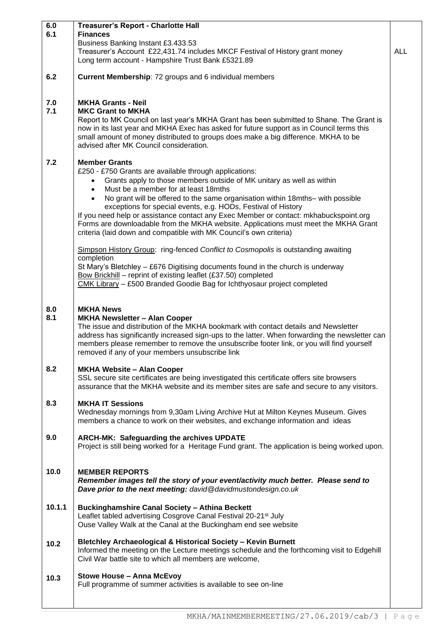| 6.0<br>6.1 | <b>Treasurer's Report - Charlotte Hall</b><br><b>Finances</b><br>Business Banking Instant £3.433.53<br>Treasurer's Account £22,431.74 includes MKCF Festival of History grant money<br>Long term account - Hampshire Trust Bank £5321.89                                                                                                                                                                                                                                                                                                                                                                                                                                                                                                                                                                                                                                                                                                                                           | <b>ALL</b> |
|------------|------------------------------------------------------------------------------------------------------------------------------------------------------------------------------------------------------------------------------------------------------------------------------------------------------------------------------------------------------------------------------------------------------------------------------------------------------------------------------------------------------------------------------------------------------------------------------------------------------------------------------------------------------------------------------------------------------------------------------------------------------------------------------------------------------------------------------------------------------------------------------------------------------------------------------------------------------------------------------------|------------|
| 6.2        | Current Membership: 72 groups and 6 individual members                                                                                                                                                                                                                                                                                                                                                                                                                                                                                                                                                                                                                                                                                                                                                                                                                                                                                                                             |            |
| 7.0<br>7.1 | <b>MKHA Grants - Neil</b><br><b>MKC Grant to MKHA</b><br>Report to MK Council on last year's MKHA Grant has been submitted to Shane. The Grant is<br>now in its last year and MKHA Exec has asked for future support as in Council terms this<br>small amount of money distributed to groups does make a big difference. MKHA to be<br>advised after MK Council consideration.                                                                                                                                                                                                                                                                                                                                                                                                                                                                                                                                                                                                     |            |
| 7.2        | <b>Member Grants</b><br>£250 - £750 Grants are available through applications:<br>Grants apply to those members outside of MK unitary as well as within<br>$\bullet$<br>Must be a member for at least 18mths<br>$\bullet$<br>No grant will be offered to the same organisation within 18mths- with possible<br>$\bullet$<br>exceptions for special events, e.g. HODs, Festival of History<br>If you need help or assistance contact any Exec Member or contact: mkhabuckspoint.org<br>Forms are downloadable from the MKHA website. Applications must meet the MKHA Grant<br>criteria (laid down and compatible with MK Council's own criteria)<br>Simpson History Group: ring-fenced Conflict to Cosmopolis is outstanding awaiting<br>completion<br>St Mary's Bletchley - £676 Digitising documents found in the church is underway<br>Bow Brickhill - reprint of existing leaflet (£37.50) completed<br>CMK Library - £500 Branded Goodie Bag for Ichthyosaur project completed |            |
| 8.0<br>8.1 | <b>MKHA News</b><br><b>MKHA Newsletter - Alan Cooper</b><br>The issue and distribution of the MKHA bookmark with contact details and Newsletter<br>address has significantly increased sign-ups to the latter. When forwarding the newsletter can<br>members please remember to remove the unsubscribe footer link, or you will find yourself<br>removed if any of your members unsubscribe link                                                                                                                                                                                                                                                                                                                                                                                                                                                                                                                                                                                   |            |
| 8.2        | <b>MKHA Website - Alan Cooper</b><br>SSL secure site certificates are being investigated this certificate offers site browsers<br>assurance that the MKHA website and its member sites are safe and secure to any visitors.                                                                                                                                                                                                                                                                                                                                                                                                                                                                                                                                                                                                                                                                                                                                                        |            |
| 8.3        | <b>MKHA IT Sessions</b><br>Wednesday mornings from 9,30am Living Archive Hut at Milton Keynes Museum. Gives<br>members a chance to work on their websites, and exchange information and ideas                                                                                                                                                                                                                                                                                                                                                                                                                                                                                                                                                                                                                                                                                                                                                                                      |            |
| 9.0        | ARCH-MK: Safeguarding the archives UPDATE<br>Project is still being worked for a Heritage Fund grant. The application is being worked upon.                                                                                                                                                                                                                                                                                                                                                                                                                                                                                                                                                                                                                                                                                                                                                                                                                                        |            |
| 10.0       | <b>MEMBER REPORTS</b><br>Remember images tell the story of your event/activity much better. Please send to<br>Dave prior to the next meeting: david@davidmustondesign.co.uk                                                                                                                                                                                                                                                                                                                                                                                                                                                                                                                                                                                                                                                                                                                                                                                                        |            |
| 10.1.1     | <b>Buckinghamshire Canal Society - Athina Beckett</b><br>Leaflet tabled advertising Cosgrove Canal Festival 20-21 <sup>st</sup> July<br>Ouse Valley Walk at the Canal at the Buckingham end see website                                                                                                                                                                                                                                                                                                                                                                                                                                                                                                                                                                                                                                                                                                                                                                            |            |
| 10.2       | Bletchley Archaeological & Historical Society - Kevin Burnett<br>Informed the meeting on the Lecture meetings schedule and the forthcoming visit to Edgehill<br>Civil War battle site to which all members are welcome,                                                                                                                                                                                                                                                                                                                                                                                                                                                                                                                                                                                                                                                                                                                                                            |            |
| 10.3       | <b>Stowe House - Anna McEvoy</b><br>Full programme of summer activities is available to see on-line                                                                                                                                                                                                                                                                                                                                                                                                                                                                                                                                                                                                                                                                                                                                                                                                                                                                                |            |